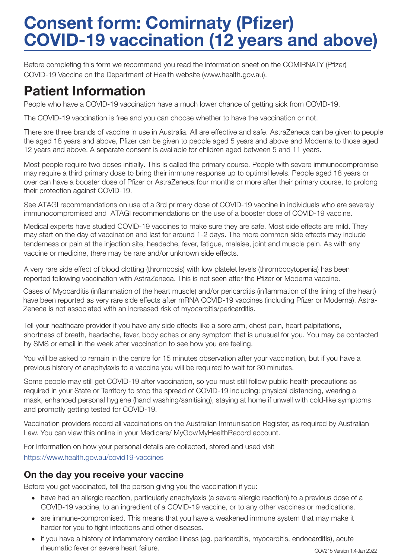# Consent form: Comirnaty (Pfizer) COVID-19 vaccination (12 years and above)

Before completing this form we recommend you read the information sheet on the COMIRNATY (Pfizer) COVID-19 Vaccine on the Department of Health website (www.health.gov.au).

## Patient Information

People who have a COVID-19 vaccination have a much lower chance of getting sick from COVID-19.

The COVID-19 vaccination is free and you can choose whether to have the vaccination or not.

There are three brands of vaccine in use in Australia. All are effective and safe. AstraZeneca can be given to people the aged 18 years and above, Pfizer can be given to people aged 5 years and above and Moderna to those aged 12 years and above. A separate consent is available for children aged between 5 and 11 years.

Most people require two doses initially. This is called the primary course. People with severe immunocompromise may require a third primary dose to bring their immune response up to optimal levels. People aged 18 years or over can have a booster dose of Pfizer or AstraZeneca four months or more after their primary course, to prolong their protection against COVID-19.

See ATAGI recommendations on use of a 3rd primary dose of COVID-19 vaccine in individuals who are severely immunocompromised and ATAGI recommendations on the use of a booster dose of COVID-19 vaccine.

Medical experts have studied COVID-19 vaccines to make sure they are safe. Most side effects are mild. They may start on the day of vaccination and last for around 1-2 days. The more common side effects may include tenderness or pain at the injection site, headache, fever, fatigue, malaise, joint and muscle pain. As with any vaccine or medicine, there may be rare and/or unknown side effects.

A very rare side effect of blood clotting (thrombosis) with low platelet levels (thrombocytopenia) has been reported following vaccination with AstraZeneca. This is not seen after the Pfizer or Moderna vaccine.

Cases of Myocarditis (inflammation of the heart muscle) and/or pericarditis (inflammation of the lining of the heart) have been reported as very rare side effects after mRNA COVID-19 vaccines (including Pfizer or Moderna). Astra-Zeneca is not associated with an increased risk of myocarditis/pericarditis.

Tell your healthcare provider if you have any side effects like a sore arm, chest pain, heart palpitations, shortness of breath, headache, fever, body aches or any symptom that is unusual for you. You may be contacted by SMS or email in the week after vaccination to see how you are feeling.

You will be asked to remain in the centre for 15 minutes observation after your vaccination, but if you have a previous history of anaphylaxis to a vaccine you will be required to wait for 30 minutes.

Some people may still get COVID-19 after vaccination, so you must still follow public health precautions as required in your State or Territory to stop the spread of COVID-19 including: physical distancing, wearing a mask, enhanced personal hygiene (hand washing/sanitising), staying at home if unwell with cold-like symptoms and promptly getting tested for COVID-19.

Vaccination providers record all vaccinations on the Australian Immunisation Register, as required by Australian Law. You can view this online in your Medicare/ MyGov/MyHealthRecord account.

For information on how your personal details are collected, stored and used visit https://www.health.gov.au/covid19-vaccines

#### On the day you receive your vaccine

Before you get vaccinated, tell the person giving you the vaccination if you:

- have had an allergic reaction, particularly anaphylaxis (a severe allergic reaction) to a previous dose of a COVID-19 vaccine, to an ingredient of a COVID-19 vaccine, or to any other vaccines or medications.
- are immune-compromised. This means that you have a weakened immune system that may make it harder for you to fight infections and other diseases.
- if you have a history of inflammatory cardiac illness (eg. pericarditis, myocarditis, endocarditis), acute rheumatic fever or severe heart failure.<br>COV215 Version 1.4 Jan 2022